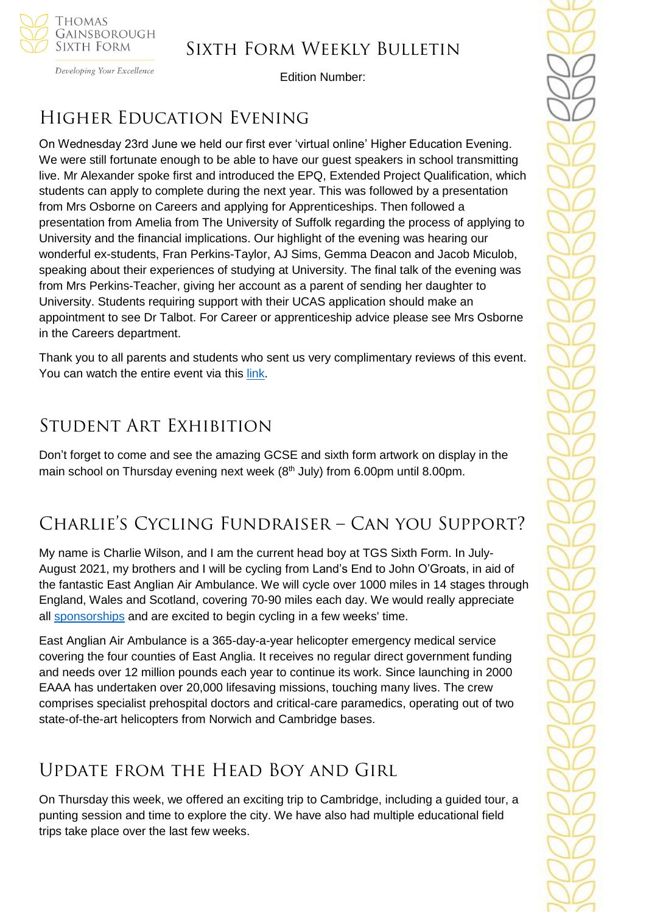

Developing Your Excellence

Edition Number:

# Higher Education Evening

On Wednesday 23rd June we held our first ever 'virtual online' Higher Education Evening. We were still fortunate enough to be able to have our guest speakers in school transmitting live. Mr Alexander spoke first and introduced the EPQ, Extended Project Qualification, which students can apply to complete during the next year. This was followed by a presentation from Mrs Osborne on Careers and applying for Apprenticeships. Then followed a presentation from Amelia from The University of Suffolk regarding the process of applying to University and the financial implications. Our highlight of the evening was hearing our wonderful ex-students, Fran Perkins-Taylor, AJ Sims, Gemma Deacon and Jacob Miculob, speaking about their experiences of studying at University. The final talk of the evening was from Mrs Perkins-Teacher, giving her account as a parent of sending her daughter to University. Students requiring support with their UCAS application should make an appointment to see Dr Talbot. For Career or apprenticeship advice please see Mrs Osborne in the Careers department.

Thank you to all parents and students who sent us very complimentary reviews of this event. You can watch the entire event via this [link.](https://tgschool.net/news/sixth-form-higher-education-evening)

# Student Art Exhibition

Don't forget to come and see the amazing GCSE and sixth form artwork on display in the main school on Thursday evening next week  $(8<sup>th</sup>$  July) from 6.00pm until 8.00pm.

# Charlie's Cycling Fundraiser – Can you Support?

My name is Charlie Wilson, and I am the current head boy at TGS Sixth Form. In July-August 2021, my brothers and I will be cycling from Land's End to John O'Groats, in aid of the fantastic East Anglian Air Ambulance. We will cycle over 1000 miles in 14 stages through England, Wales and Scotland, covering 70-90 miles each day. We would really appreciate all [sponsorships](https://www.gofundme.com/f/cycle-lands-end-to-john-ogroats-for-eaaa?utm_source=customer&utm_medium=copy_link&utm_campaign=p_cf+share-flow-1) and are excited to begin cycling in a few weeks' time.

East Anglian Air Ambulance is a 365-day-a-year helicopter emergency medical service covering the four counties of East Anglia. It receives no regular direct government funding and needs over 12 million pounds each year to continue its work. Since launching in 2000 EAAA has undertaken over 20,000 lifesaving missions, touching many lives. The crew comprises specialist prehospital doctors and critical-care paramedics, operating out of two state-of-the-art helicopters from Norwich and Cambridge bases.

# Update from the Head Boy and Girl

On Thursday this week, we offered an exciting trip to Cambridge, including a guided tour, a punting session and time to explore the city. We have also had multiple educational field trips take place over the last few weeks.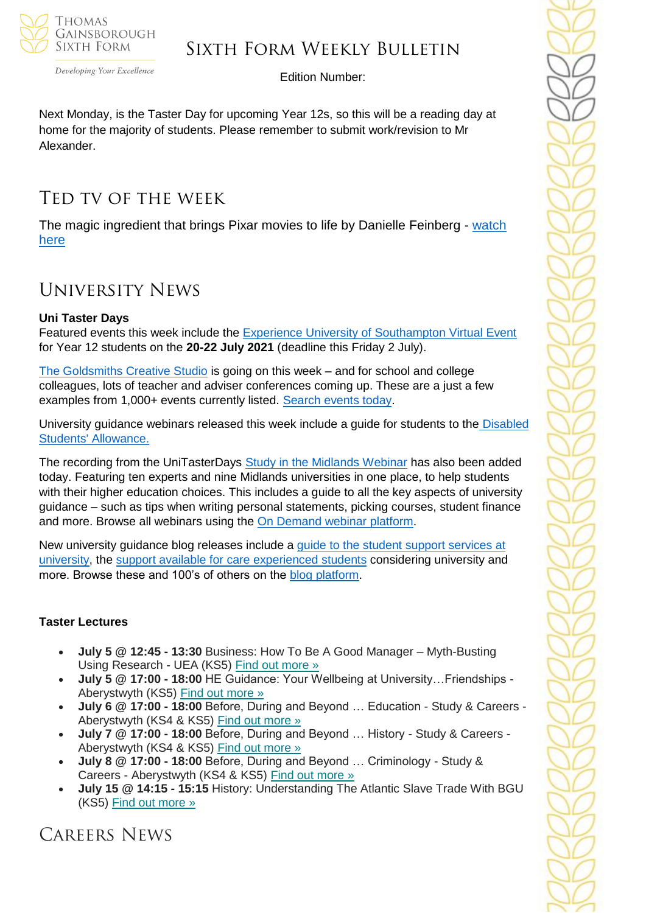

Developing Your Excellence

Edition Number:

Next Monday, is the Taster Day for upcoming Year 12s, so this will be a reading day at home for the majority of students. Please remember to submit work/revision to Mr Alexander.

# Ted tv of the week

The magic ingredient that brings Pixar movies to life by Danielle Feinberg - [watch](https://www.ted.com/talks/danielle_feinberg_the_magic_ingredient_that_brings_pixar_movies_to_life)  [here](https://www.ted.com/talks/danielle_feinberg_the_magic_ingredient_that_brings_pixar_movies_to_life)

# University News

# **Uni Taster Days**

Featured events this week include the [Experience University of Southampton Virtual Event](https://www.unitasterdays.com/events/event/65694/experience-university-of-southampton-virtual-event) for Year 12 students on the **20-22 July 2021** (deadline this Friday 2 July).

[The Goldsmiths Creative Studio](https://www.unitasterdays.com/events/event/65492/creative-studio-2021) is going on this week – and for school and college colleagues, lots of teacher and adviser conferences coming up. These are a just a few examples from 1,000+ events currently listed. [Search events today.](https://www.unitasterdays.com/search.aspx)

University guidance webinars released this week include a guide for students to the [Disabled](https://www.unitasterdays.com/ondemand/webinar/126/disabled-students-allowance-dsa)  [Students' Allowance.](https://www.unitasterdays.com/ondemand/webinar/126/disabled-students-allowance-dsa)

The recording from the UniTasterDays [Study in the Midlands Webinar](https://www.unitasterdays.com/midlandswebinar) has also been added today. Featuring ten experts and nine Midlands universities in one place, to help students with their higher education choices. This includes a guide to all the key aspects of university guidance – such as tips when writing personal statements, picking courses, student finance and more. Browse all webinars using the [On Demand webinar platform.](https://www.unitasterdays.com/ondemand)

New university guidance blog releases include a [guide to the student support services at](https://www.unitasterdays.com/university-tips/tip/372/a-school-and-college-guide-to-how-universities-support-students-in-need-of-additional-support)  [university,](https://www.unitasterdays.com/university-tips/tip/372/a-school-and-college-guide-to-how-universities-support-students-in-need-of-additional-support) the [support available for care experienced students](https://www.unitasterdays.com/university-tips/tip/368/a-school-and-college-guide-to-supporting-care-experienced-and-estranged-students-into-higher-education) considering university and more. Browse these and 100's of others on the [blog platform.](https://www.unitasterdays.com/university-tips-blog/)

# **Taster Lectures**

- **July 5 @ 12:45 - 13:30** Business: How To Be A Good Manager Myth-Busting Using Research - UEA (KS5) Find out [more](https://channeltalent.us10.list-manage.com/track/click?u=145837fa6843e0c349598322a&id=9a5c4fe3da&e=155232616c) »
- **July 5 @ 17:00 - 18:00** HE Guidance: Your Wellbeing at University…Friendships Aberystwyth (KS5) Find out [more](https://channeltalent.us10.list-manage.com/track/click?u=145837fa6843e0c349598322a&id=67240f766e&e=155232616c) »
- **July 6 @ 17:00 - 18:00** Before, During and Beyond … Education Study & Careers Aberystwyth (KS4 & KS5) Find out [more](https://channeltalent.us10.list-manage.com/track/click?u=145837fa6843e0c349598322a&id=8049c552e7&e=155232616c) »
- **July 7 @ 17:00 - 18:00** Before, During and Beyond … History Study & Careers Aberystwyth (KS4 & KS5) Find out [more](https://channeltalent.us10.list-manage.com/track/click?u=145837fa6843e0c349598322a&id=d0f1ccac60&e=155232616c) »
- **July 8 @ 17:00 - 18:00** Before, During and Beyond … Criminology Study & Careers - Aberystwyth (KS4 & KS5) Find out [more](https://channeltalent.us10.list-manage.com/track/click?u=145837fa6843e0c349598322a&id=22d84086e0&e=155232616c) »
- **July 15 @ 14:15 - 15:15** History: Understanding The Atlantic Slave Trade With BGU (KS5) Find out [more](https://channeltalent.us10.list-manage.com/track/click?u=145837fa6843e0c349598322a&id=81b4fa7e38&e=155232616c) »

Careers News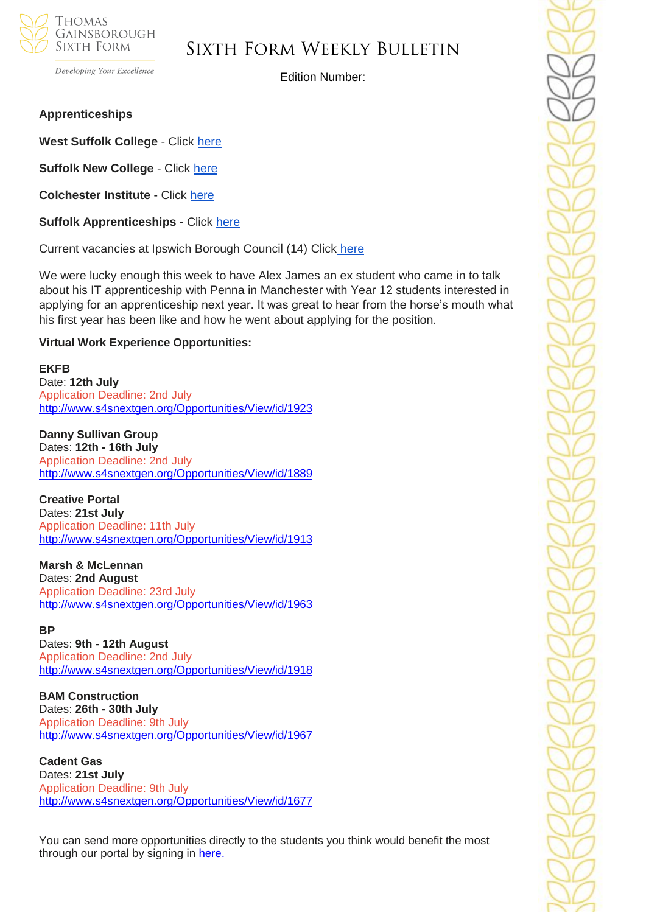

Developing Your Excellence

Edition Number:

#### **Apprenticeships**

**West Suffolk College** - Click [here](https://apprenticeships.wsc.ac.uk/)

**Suffolk New College** - Click [here](https://suffolknew.justapply.co.uk/index.php?mod=publicpost)

**Colchester Institute** - Click [here](https://www.colchester.ac.uk/apprenticeships/vacancies/)

**Suffolk Apprenticeships** - Click [here](https://apprenticeshipssuffolk.org/jobs-page/)

Current vacancies at Ipswich Borough Council (14) Click [here](https://www.ipswich.gov.uk/apprenticeship-vacancies)

We were lucky enough this week to have Alex James an ex student who came in to talk about his IT apprenticeship with Penna in Manchester with Year 12 students interested in applying for an apprenticeship next year. It was great to hear from the horse's mouth what his first year has been like and how he went about applying for the position.

#### **Virtual Work Experience Opportunities:**

#### **EKFB**

Date: **12th July** Application Deadline: 2nd July <http://www.s4snextgen.org/Opportunities/View/id/1923>

**Danny Sullivan Group**  Dates: **12th - 16th July** Application Deadline: 2nd July <http://www.s4snextgen.org/Opportunities/View/id/1889>

**Creative Portal** Dates: **21st July** Application Deadline: 11th July <http://www.s4snextgen.org/Opportunities/View/id/1913>

**Marsh & McLennan** Dates: **2nd August** Application Deadline: 23rd July <http://www.s4snextgen.org/Opportunities/View/id/1963>

#### **BP**

Dates: **9th - 12th August** Application Deadline: 2nd July <http://www.s4snextgen.org/Opportunities/View/id/1918>

**BAM Construction** Dates: **26th - 30th July** Application Deadline: 9th July <http://www.s4snextgen.org/Opportunities/View/id/1967>

**Cadent Gas** Dates: **21st July** Application Deadline: 9th July <http://www.s4snextgen.org/Opportunities/View/id/1677>

You can send more opportunities directly to the students you think would benefit the most through our portal by signing in here.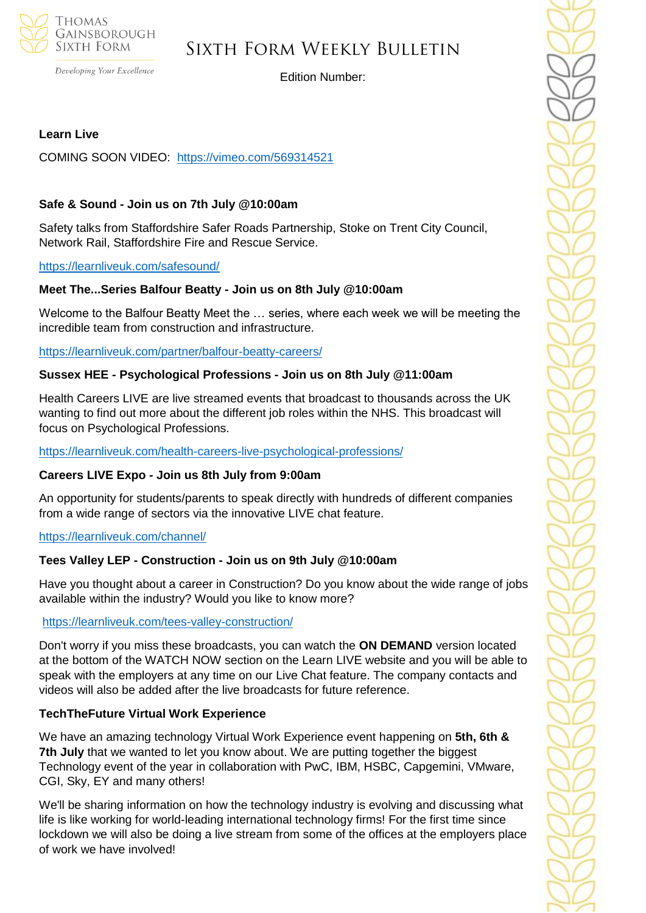

Developing Your Excellence

Edition Number:

# **Learn Live**

COMING SOON VIDEO: <https://vimeo.com/569314521>

## **Safe & Sound - Join us on 7th July @10:00am**

Safety talks from Staffordshire Safer Roads Partnership, Stoke on Trent City Council, Network Rail, Staffordshire Fire and Rescue Service.

#### <https://learnliveuk.com/safesound/>

## **Meet The...Series Balfour Beatty - Join us on 8th July @10:00am**

Welcome to the Balfour Beatty Meet the … series, where each week we will be meeting the incredible team from construction and infrastructure.

<https://learnliveuk.com/partner/balfour-beatty-careers/>

## **Sussex HEE - Psychological Professions - Join us on 8th July @11:00am**

Health Careers LIVE are live streamed events that broadcast to thousands across the UK wanting to find out more about the different job roles within the NHS. This broadcast will focus on Psychological Professions.

<https://learnliveuk.com/health-careers-live-psychological-professions/>

## **Careers LIVE Expo - Join us 8th July from 9:00am**

An opportunity for students/parents to speak directly with hundreds of different companies from a wide range of sectors via the innovative LIVE chat feature.

<https://learnliveuk.com/channel/>

## **Tees Valley LEP - Construction - Join us on 9th July @10:00am**

Have you thought about a career in Construction? Do you know about the wide range of jobs available within the industry? Would you like to know more?

## <https://learnliveuk.com/tees-valley-construction/>

Don't worry if you miss these broadcasts, you can watch the **ON DEMAND** version located at the bottom of the WATCH NOW section on the Learn LIVE website and you will be able to speak with the employers at any time on our Live Chat feature. The company contacts and videos will also be added after the live broadcasts for future reference.

## **TechTheFuture Virtual Work Experience**

We have an amazing technology Virtual Work Experience event happening on **5th, 6th & 7th July** that we wanted to let you know about. We are putting together the biggest Technology event of the year in collaboration with PwC, IBM, HSBC, Capgemini, VMware, CGI, Sky, EY and many others!

We'll be sharing information on how the technology industry is evolving and discussing what life is like working for world-leading international technology firms! For the first time since lockdown we will also be doing a live stream from some of the offices at the employers place of work we have involved!